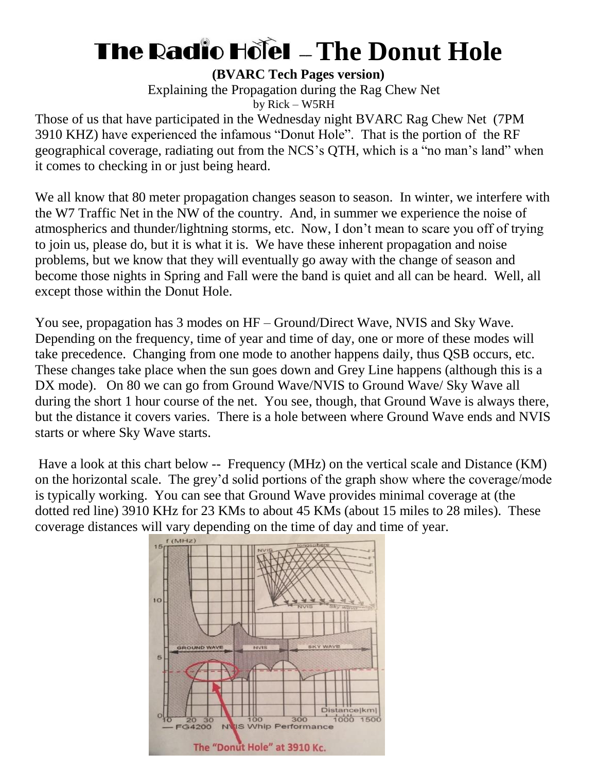## **The Radio Hole - The Donut Hole**

**(BVARC Tech Pages version)**

Explaining the Propagation during the Rag Chew Net by Rick – W5RH

Those of us that have participated in the Wednesday night BVARC Rag Chew Net (7PM 3910 KHZ) have experienced the infamous "Donut Hole". That is the portion of the RF geographical coverage, radiating out from the NCS's QTH, which is a "no man's land" when it comes to checking in or just being heard.

We all know that 80 meter propagation changes season to season. In winter, we interfere with the W7 Traffic Net in the NW of the country. And, in summer we experience the noise of atmospherics and thunder/lightning storms, etc. Now, I don't mean to scare you off of trying to join us, please do, but it is what it is. We have these inherent propagation and noise problems, but we know that they will eventually go away with the change of season and become those nights in Spring and Fall were the band is quiet and all can be heard. Well, all except those within the Donut Hole.

You see, propagation has 3 modes on HF – Ground/Direct Wave, NVIS and Sky Wave. Depending on the frequency, time of year and time of day, one or more of these modes will take precedence. Changing from one mode to another happens daily, thus QSB occurs, etc. These changes take place when the sun goes down and Grey Line happens (although this is a DX mode). On 80 we can go from Ground Wave/NVIS to Ground Wave/ Sky Wave all during the short 1 hour course of the net. You see, though, that Ground Wave is always there, but the distance it covers varies. There is a hole between where Ground Wave ends and NVIS starts or where Sky Wave starts.

Have a look at this chart below -- Frequency (MHz) on the vertical scale and Distance (KM) on the horizontal scale. The grey'd solid portions of the graph show where the coverage/mode is typically working. You can see that Ground Wave provides minimal coverage at (the dotted red line) 3910 KHz for 23 KMs to about 45 KMs (about 15 miles to 28 miles). These coverage distances will vary depending on the time of day and time of year.

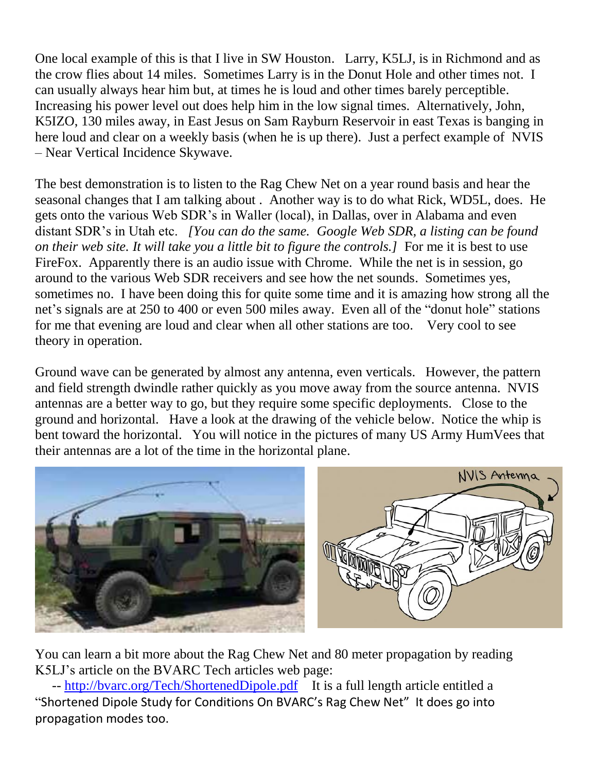One local example of this is that I live in SW Houston. Larry, K5LJ, is in Richmond and as the crow flies about 14 miles. Sometimes Larry is in the Donut Hole and other times not. I can usually always hear him but, at times he is loud and other times barely perceptible. Increasing his power level out does help him in the low signal times. Alternatively, John, K5IZO, 130 miles away, in East Jesus on Sam Rayburn Reservoir in east Texas is banging in here loud and clear on a weekly basis (when he is up there). Just a perfect example of NVIS – Near Vertical Incidence Skywave.

The best demonstration is to listen to the Rag Chew Net on a year round basis and hear the seasonal changes that I am talking about . Another way is to do what Rick, WD5L, does. He gets onto the various Web SDR's in Waller (local), in Dallas, over in Alabama and even distant SDR's in Utah etc. *[You can do the same. Google Web SDR, a listing can be found on their web site. It will take you a little bit to figure the controls.]* For me it is best to use FireFox. Apparently there is an audio issue with Chrome. While the net is in session, go around to the various Web SDR receivers and see how the net sounds. Sometimes yes, sometimes no. I have been doing this for quite some time and it is amazing how strong all the net's signals are at 250 to 400 or even 500 miles away. Even all of the "donut hole" stations for me that evening are loud and clear when all other stations are too. Very cool to see theory in operation.

Ground wave can be generated by almost any antenna, even verticals. However, the pattern and field strength dwindle rather quickly as you move away from the source antenna. NVIS antennas are a better way to go, but they require some specific deployments. Close to the ground and horizontal. Have a look at the drawing of the vehicle below. Notice the whip is bent toward the horizontal. You will notice in the pictures of many US Army HumVees that their antennas are a lot of the time in the horizontal plane.



You can learn a bit more about the Rag Chew Net and 80 meter propagation by reading K5LJ's article on the BVARC Tech articles web page:

-- <http://bvarc.org/Tech/ShortenedDipole.pdf>It is a full length article entitled a "Shortened Dipole Study for Conditions On BVARC's Rag Chew Net" It does go into propagation modes too.